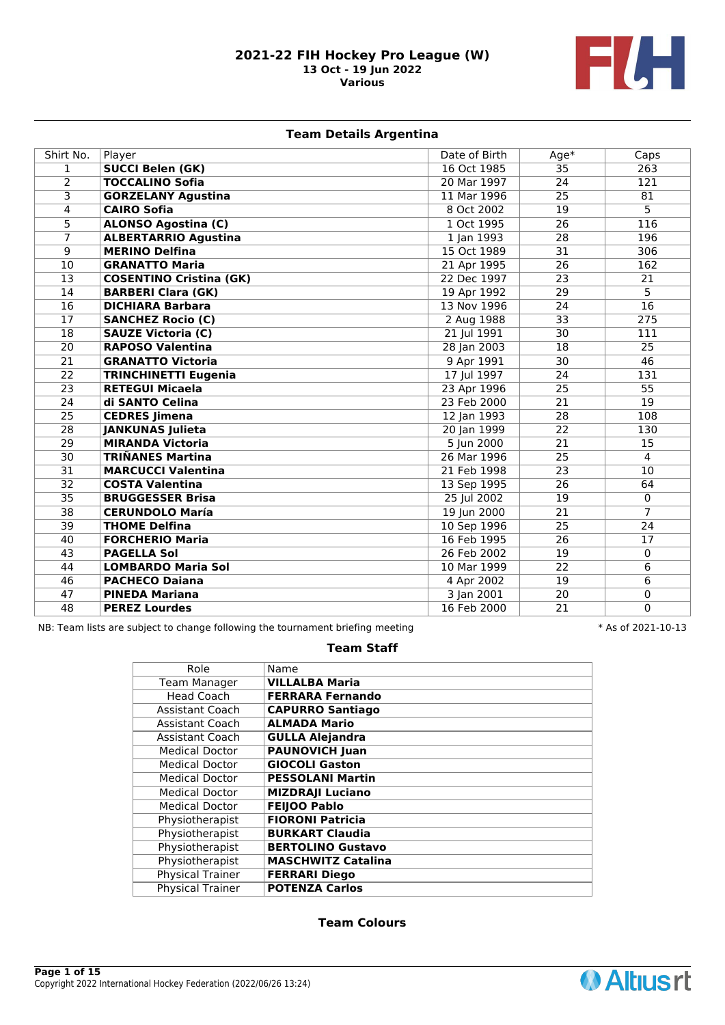

# **Team Details Argentina**

| Shirt No.       | Player                         | Date of Birth | $Age*$          | Caps            |
|-----------------|--------------------------------|---------------|-----------------|-----------------|
| 1               | <b>SUCCI Belen (GK)</b>        | 16 Oct 1985   | 35              | 263             |
| $\overline{2}$  | <b>TOCCALINO Sofia</b>         | 20 Mar 1997   | 24              | 121             |
| 3               | <b>GORZELANY Agustina</b>      | 11 Mar 1996   | 25              | 81              |
| 4               | <b>CAIRO Sofia</b>             | 8 Oct 2002    | 19              | 5               |
| $\overline{5}$  | <b>ALONSO Agostina (C)</b>     | 1 Oct 1995    | 26              | 116             |
| $\overline{7}$  | <b>ALBERTARRIO Agustina</b>    | 1 Jan 1993    | 28              | 196             |
| 9               | <b>MERINO Delfina</b>          | 15 Oct 1989   | 31              | 306             |
| 10              | <b>GRANATTO Maria</b>          | 21 Apr 1995   | 26              | 162             |
| $\overline{13}$ | <b>COSENTINO Cristina (GK)</b> | 22 Dec 1997   | $\overline{23}$ | 21              |
| 14              | <b>BARBERI Clara (GK)</b>      | 19 Apr 1992   | 29              | 5               |
| 16              | <b>DICHIARA Barbara</b>        | 13 Nov 1996   | 24              | 16              |
| 17              | <b>SANCHEZ Rocio (C)</b>       | 2 Aug 1988    | 33              | 275             |
| $\overline{18}$ | <b>SAUZE Victoria (C)</b>      | 21 Jul 1991   | 30              | 111             |
| $\overline{20}$ | <b>RAPOSO Valentina</b>        | 28 Jan 2003   | 18              | 25              |
| 21              | <b>GRANATTO Victoria</b>       | 9 Apr 1991    | 30              | 46              |
| $\overline{22}$ | <b>TRINCHINETTI Eugenia</b>    | 17 Jul 1997   | 24              | 131             |
| $\overline{23}$ | <b>RETEGUI Micaela</b>         | 23 Apr 1996   | 25              | 55              |
| 24              | di SANTO Celina                | 23 Feb 2000   | 21              | 19              |
| 25              | <b>CEDRES Jimena</b>           | 12 Jan 1993   | 28              | 108             |
| $\overline{28}$ | <b>JANKUNAS Julieta</b>        | 20 Jan 1999   | $\overline{22}$ | 130             |
| $\overline{29}$ | <b>MIRANDA Victoria</b>        | 5 Jun 2000    | 21              | 15              |
| $\overline{30}$ | <b>TRIÑANES Martina</b>        | 26 Mar 1996   | 25              | $\overline{4}$  |
| $\overline{31}$ | <b>MARCUCCI Valentina</b>      | 21 Feb 1998   | $\overline{23}$ | $\overline{10}$ |
| $\overline{32}$ | <b>COSTA Valentina</b>         | 13 Sep 1995   | $\overline{26}$ | 64              |
| $\overline{35}$ | <b>BRUGGESSER Brisa</b>        | 25 Jul 2002   | 19              | $\overline{0}$  |
| $\overline{38}$ | <b>CERUNDOLO María</b>         | 19 Jun 2000   | 21              | $\overline{7}$  |
| 39              | <b>THOME Delfina</b>           | 10 Sep 1996   | 25              | 24              |
| 40              | <b>FORCHERIO Maria</b>         | 16 Feb 1995   | 26              | 17              |
| 43              | <b>PAGELLA Sol</b>             | 26 Feb 2002   | 19              | $\mathbf{0}$    |
| 44              | <b>LOMBARDO Maria Sol</b>      | 10 Mar 1999   | 22              | 6               |
| 46              | <b>PACHECO Daiana</b>          | 4 Apr 2002    | 19              | 6               |
| 47              | <b>PINEDA Mariana</b>          | 3 Jan 2001    | $\overline{20}$ | 0               |
| 48              | <b>PEREZ Lourdes</b>           | 16 Feb 2000   | 21              | $\Omega$        |

NB: Team lists are subject to change following the tournament briefing meeting  $* A s$  of 2021-10-13

# **Team Staff**

| Role                    | Name                      |
|-------------------------|---------------------------|
| <b>Team Manager</b>     | <b>VILLALBA Maria</b>     |
| Head Coach              | <b>FERRARA Fernando</b>   |
| <b>Assistant Coach</b>  | <b>CAPURRO Santiago</b>   |
| <b>Assistant Coach</b>  | <b>ALMADA Mario</b>       |
| <b>Assistant Coach</b>  | <b>GULLA Alejandra</b>    |
| <b>Medical Doctor</b>   | <b>PAUNOVICH Juan</b>     |
| <b>Medical Doctor</b>   | <b>GIOCOLI Gaston</b>     |
| <b>Medical Doctor</b>   | <b>PESSOLANI Martin</b>   |
| <b>Medical Doctor</b>   | <b>MIZDRAJI Luciano</b>   |
| <b>Medical Doctor</b>   | <b>FEIJOO Pablo</b>       |
| Physiotherapist         | <b>FIORONI Patricia</b>   |
| Physiotherapist         | <b>BURKART Claudia</b>    |
| Physiotherapist         | <b>BERTOLINO Gustavo</b>  |
| Physiotherapist         | <b>MASCHWITZ Catalina</b> |
| Physical Trainer        | <b>FERRARI Diego</b>      |
| <b>Physical Trainer</b> | <b>POTENZA Carlos</b>     |
|                         |                           |

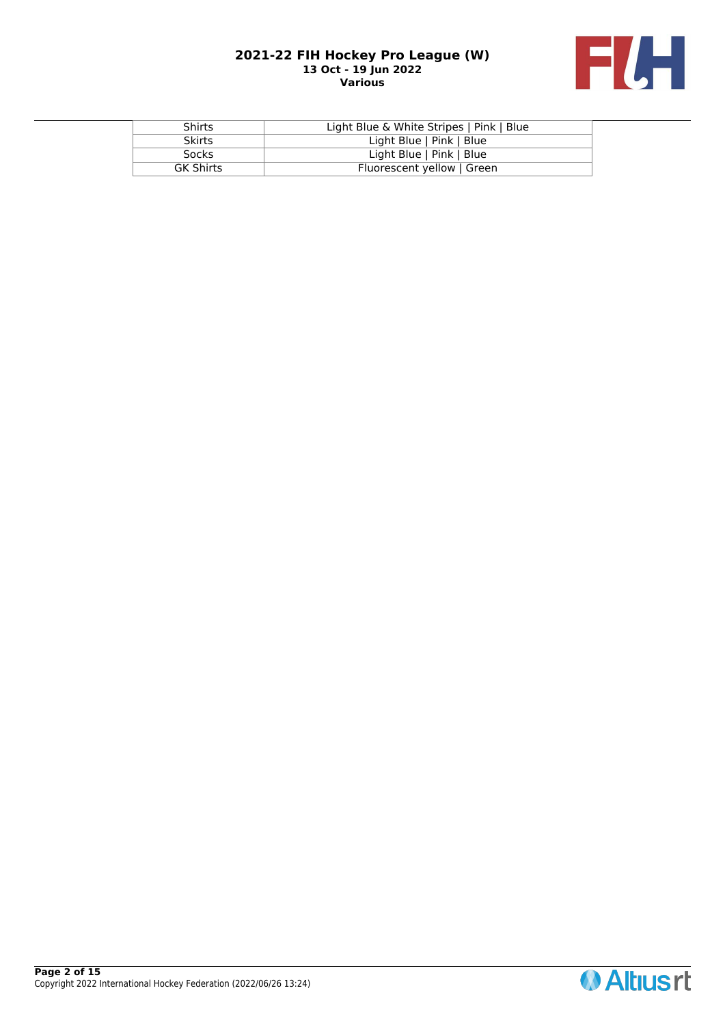

| <b>Shirts</b>    | Light Blue & White Stripes   Pink   Blue |
|------------------|------------------------------------------|
| <b>Skirts</b>    | Light Blue   Pink   Blue                 |
| <b>Socks</b>     | Light Blue   Pink   Blue                 |
| <b>GK Shirts</b> | Fluorescent yellow   Green               |

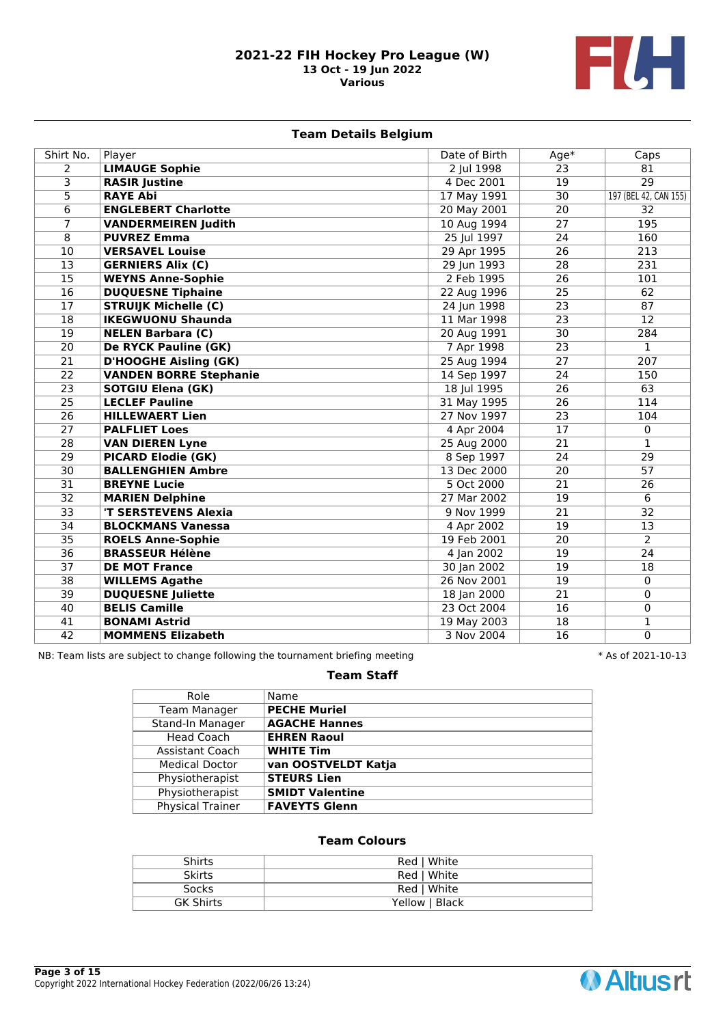

# **Team Details Belgium**

| Shirt No.       | Player                        | Date of Birth | $Age*$          | Caps                  |
|-----------------|-------------------------------|---------------|-----------------|-----------------------|
| $\overline{2}$  | <b>LIMAUGE Sophie</b>         | 2 Jul 1998    | 23              | 81                    |
| 3               | <b>RASIR Justine</b>          | 4 Dec 2001    | 19              | $\overline{29}$       |
| 5               | <b>RAYE Abi</b>               | 17 May 1991   | 30              | 197 (BEL 42, CAN 155) |
| $\overline{6}$  | <b>ENGLEBERT Charlotte</b>    | 20 May 2001   | 20              | 32                    |
| $\overline{7}$  | <b>VANDERMEIREN Judith</b>    | 10 Aug 1994   | 27              | 195                   |
| 8               | <b>PUVREZ Emma</b>            | 25 Jul 1997   | 24              | 160                   |
| 10              | <b>VERSAVEL Louise</b>        | 29 Apr 1995   | 26              | 213                   |
| 13              | <b>GERNIERS Alix (C)</b>      | 29 Jun 1993   | 28              | 231                   |
| $\overline{15}$ | <b>WEYNS Anne-Sophie</b>      | 2 Feb 1995    | $\overline{26}$ | 101                   |
| $\overline{16}$ | <b>DUQUESNE Tiphaine</b>      | 22 Aug 1996   | $\overline{25}$ | $\overline{62}$       |
| $\overline{17}$ | <b>STRUIJK Michelle (C)</b>   | 24 Jun 1998   | 23              | $\overline{87}$       |
| $\overline{18}$ | <b>IKEGWUONU Shaunda</b>      | 11 Mar 1998   | $\overline{23}$ | $\overline{12}$       |
| $\overline{19}$ | <b>NELEN Barbara (C)</b>      | 20 Aug 1991   | 30              | 284                   |
| $\overline{20}$ | <b>De RYCK Pauline (GK)</b>   | 7 Apr 1998    | $\overline{23}$ | $\mathbf{1}$          |
| $\overline{21}$ | <b>D'HOOGHE Aisling (GK)</b>  | 25 Aug 1994   | 27              | 207                   |
| $\overline{22}$ | <b>VANDEN BORRE Stephanie</b> | 14 Sep 1997   | 24              | 150                   |
| $\overline{23}$ | <b>SOTGIU Elena (GK)</b>      | 18 Jul 1995   | 26              | 63                    |
| $\overline{25}$ | <b>LECLEF Pauline</b>         | 31 May 1995   | 26              | 114                   |
| $\overline{26}$ | <b>HILLEWAERT Lien</b>        | 27 Nov 1997   | 23              | 104                   |
| 27              | <b>PALFLIET Loes</b>          | 4 Apr 2004    | 17              | $\mathbf 0$           |
| $\overline{28}$ | <b>VAN DIEREN Lyne</b>        | 25 Aug 2000   | 21              | $\mathbf{1}$          |
| 29              | <b>PICARD Elodie (GK)</b>     | 8 Sep 1997    | 24              | 29                    |
| $\overline{30}$ | <b>BALLENGHIEN Ambre</b>      | 13 Dec 2000   | 20              | $\overline{57}$       |
| 31              | <b>BREYNE Lucie</b>           | 5 Oct 2000    | 21              | 26                    |
| $\overline{32}$ | <b>MARIEN Delphine</b>        | 27 Mar 2002   | $\overline{19}$ | $6\overline{6}$       |
| $\overline{33}$ | 'T SERSTEVENS Alexia          | 9 Nov 1999    | 21              | $\overline{32}$       |
| $\overline{34}$ | <b>BLOCKMANS Vanessa</b>      | 4 Apr 2002    | 19              | 13                    |
| $\overline{35}$ | <b>ROELS Anne-Sophie</b>      | 19 Feb 2001   | 20              | $\overline{2}$        |
| $\overline{36}$ | <b>BRASSEUR Hélène</b>        | 4 Jan 2002    | 19              | $\overline{24}$       |
| $\overline{37}$ | <b>DE MOT France</b>          | 30 Jan 2002   | 19              | 18                    |
| $\overline{38}$ | <b>WILLEMS Agathe</b>         | 26 Nov 2001   | 19              | $\mathbf 0$           |
| 39              | <b>DUQUESNE Juliette</b>      | 18 Jan 2000   | 21              | 0                     |
| 40              | <b>BELIS Camille</b>          | 23 Oct 2004   | 16              | 0                     |
| 41              | <b>BONAMI Astrid</b>          | 19 May 2003   | 18              | 1                     |
| 42              | <b>MOMMENS Elizabeth</b>      | 3 Nov 2004    | 16              | $\overline{0}$        |

NB: Team lists are subject to change following the tournament briefing meeting  $* A s$  of 2021-10-13

# **Team Staff**

| Role                  | Name                   |
|-----------------------|------------------------|
| <b>Team Manager</b>   | <b>PECHE Muriel</b>    |
| Stand-In Manager      | <b>AGACHE Hannes</b>   |
| Head Coach            | <b>EHREN Raoul</b>     |
| Assistant Coach       | <b>WHITE Tim</b>       |
| <b>Medical Doctor</b> | van OOSTVELDT Katja    |
| Physiotherapist       | <b>STEURS Lien</b>     |
| Physiotherapist       | <b>SMIDT Valentine</b> |
| Physical Trainer      | <b>FAVEYTS Glenn</b>   |

| <b>Shirts</b>    | Red   White    |
|------------------|----------------|
| <b>Skirts</b>    | Red   White    |
| Socks            | Red   White    |
| <b>GK Shirts</b> | Yellow   Black |

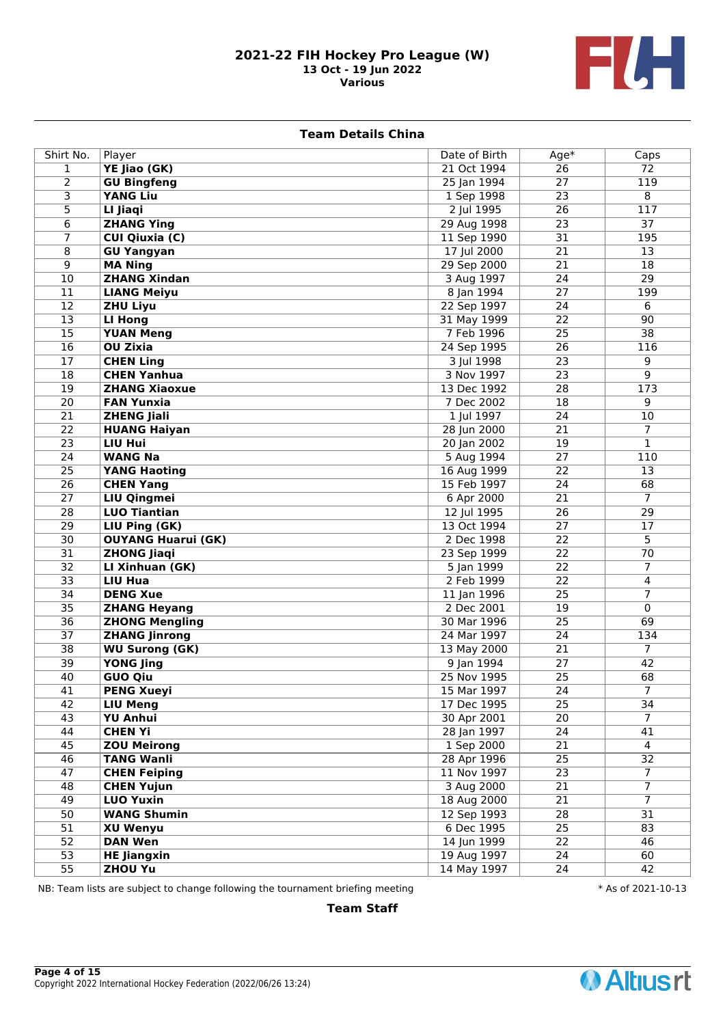

### **Team Details China**

| Shirt No.       | Player                    | Date of Birth | $Age*$          | Caps              |
|-----------------|---------------------------|---------------|-----------------|-------------------|
| $\mathbf{1}$    | YE Jiao (GK)              | 21 Oct 1994   | $\overline{26}$ | $\overline{72}$   |
| $\overline{2}$  | <b>GU Bingfeng</b>        | 25 Jan 1994   | $\overline{27}$ | 119               |
| $\overline{3}$  | <b>YANG Liu</b>           | 1 Sep 1998    | 23              | 8                 |
| 5               | LI Jiaqi                  | 2 Jul 1995    | $\overline{26}$ | 117               |
| 6               | <b>ZHANG Ying</b>         | 29 Aug 1998   | 23              | 37                |
| 7               | <b>CUI Qiuxia (C)</b>     | 11 Sep 1990   | $\overline{31}$ | 195               |
| 8               | <b>GU Yangyan</b>         | 17 Jul 2000   | 21              | 13                |
| $\overline{9}$  | <b>MA Ning</b>            | 29 Sep 2000   | $\overline{21}$ | $\overline{18}$   |
| 10              | <b>ZHANG Xindan</b>       | 3 Aug 1997    | 24              | $\overline{29}$   |
| 11              | <b>LIANG Meiyu</b>        | 8 Jan 1994    | $\overline{27}$ | 199               |
| $\overline{12}$ | <b>ZHU Liyu</b>           | 22 Sep 1997   | 24              | 6                 |
| $\overline{13}$ | <b>LI Hong</b>            | 31 May 1999   | 22              | $\overline{90}$   |
| $\overline{15}$ | <b>YUAN Meng</b>          | 7 Feb 1996    | 25              | $\overline{38}$   |
| 16              | OU Zixia                  | 24 Sep 1995   | $\overline{26}$ | 116               |
| 17              | <b>CHEN Ling</b>          | 3 Jul 1998    | 23              | 9                 |
| $\overline{18}$ | <b>CHEN Yanhua</b>        | 3 Nov 1997    | 23              | 9                 |
| $\overline{19}$ | <b>ZHANG Xiaoxue</b>      | 13 Dec 1992   | $\overline{28}$ | 173               |
| $\overline{20}$ | <b>FAN Yunxia</b>         | 7 Dec 2002    | 18              | 9                 |
| $\overline{21}$ | <b>ZHENG Jiali</b>        | 1 Jul 1997    | $\overline{24}$ | 10                |
| $\overline{22}$ | <b>HUANG Haiyan</b>       | 28 Jun 2000   | 21              | $\overline{7}$    |
| $\overline{23}$ | <b>LIU Hui</b>            | 20 Jan 2002   | $\overline{19}$ | $\mathbf{1}$      |
| $\overline{24}$ | <b>WANG Na</b>            | 5 Aug 1994    | 27              | 110               |
| 25              | <b>YANG Haoting</b>       | 16 Aug 1999   | $\overline{22}$ | 13                |
| $\overline{26}$ | <b>CHEN Yang</b>          | 15 Feb 1997   | 24              | 68                |
| $\overline{27}$ | <b>LIU Qingmei</b>        | 6 Apr 2000    | $\overline{21}$ | $\overline{\tau}$ |
| 28              | <b>LUO Tiantian</b>       | 12 Jul 1995   | 26              | 29                |
| $\overline{29}$ | LIU Ping (GK)             | 13 Oct 1994   | 27              | 17                |
| 30              | <b>OUYANG Huarui (GK)</b> | 2 Dec 1998    | 22              | 5                 |
| 31              | <b>ZHONG Jiaqi</b>        | 23 Sep 1999   | $\overline{22}$ | $\overline{70}$   |
| $\overline{32}$ | LI Xinhuan (GK)           | 5 Jan 1999    | 22              | $\overline{7}$    |
| $\overline{33}$ | LIU Hua                   | 2 Feb 1999    | $\overline{22}$ | 4                 |
| 34              | <b>DENG Xue</b>           | 11 Jan 1996   | 25              | 7                 |
| $\overline{35}$ | <b>ZHANG Heyang</b>       | 2 Dec 2001    | $\overline{19}$ | $\mathbf 0$       |
| $\overline{36}$ | <b>ZHONG Mengling</b>     | 30 Mar 1996   | $\overline{25}$ | 69                |
| $\overline{37}$ | <b>ZHANG Jinrong</b>      | 24 Mar 1997   | $\overline{24}$ | 134               |
| $\overline{38}$ | <b>WU Surong (GK)</b>     | 13 May 2000   | $\overline{21}$ | $\overline{7}$    |
| 39              | <b>YONG Jing</b>          | 9 Jan 1994    | $\overline{27}$ | 42                |
| 40              | <b>GUO Qiu</b>            | 25 Nov 1995   | $\overline{25}$ | 68                |
| 41              | <b>PENG Xueyi</b>         | 15 Mar 1997   | $\overline{24}$ | $\overline{7}$    |
| 42              | <b>LIU Meng</b>           | 17 Dec 1995   | 25              | 34                |
| 43              | <b>YU Anhui</b>           | 30 Apr 2001   | 20              | $\overline{7}$    |
| 44              | <b>CHEN Yi</b>            | 28 Jan 1997   | $\overline{24}$ | 41                |
| 45              | <b>ZOU Meirong</b>        | 1 Sep 2000    | $\overline{21}$ | $\overline{4}$    |
| 46              | <b>TANG Wanli</b>         | 28 Apr 1996   | $\overline{25}$ | $\overline{32}$   |
| 47              | <b>CHEN Feiping</b>       | 11 Nov 1997   | $\overline{23}$ | $\overline{7}$    |
| 48              | <b>CHEN Yujun</b>         | 3 Aug 2000    | 21              | $\overline{7}$    |
| 49              | <b>LUO Yuxin</b>          | 18 Aug 2000   | $\overline{21}$ | $\overline{7}$    |
| 50              | <b>WANG Shumin</b>        | 12 Sep 1993   | 28              | $\overline{31}$   |
| 51              | <b>XU Wenyu</b>           | 6 Dec 1995    | $\overline{25}$ | 83                |
| 52              | <b>DAN Wen</b>            | 14 Jun 1999   | 22              | 46                |
| 53              | <b>HE Jiangxin</b>        | 19 Aug 1997   | 24              | 60                |
| $\overline{55}$ | <b>ZHOU Yu</b>            | 14 May 1997   | 24              | 42                |

NB: Team lists are subject to change following the tournament briefing meeting  $* A s$  of 2021-10-13

**Team Staff**

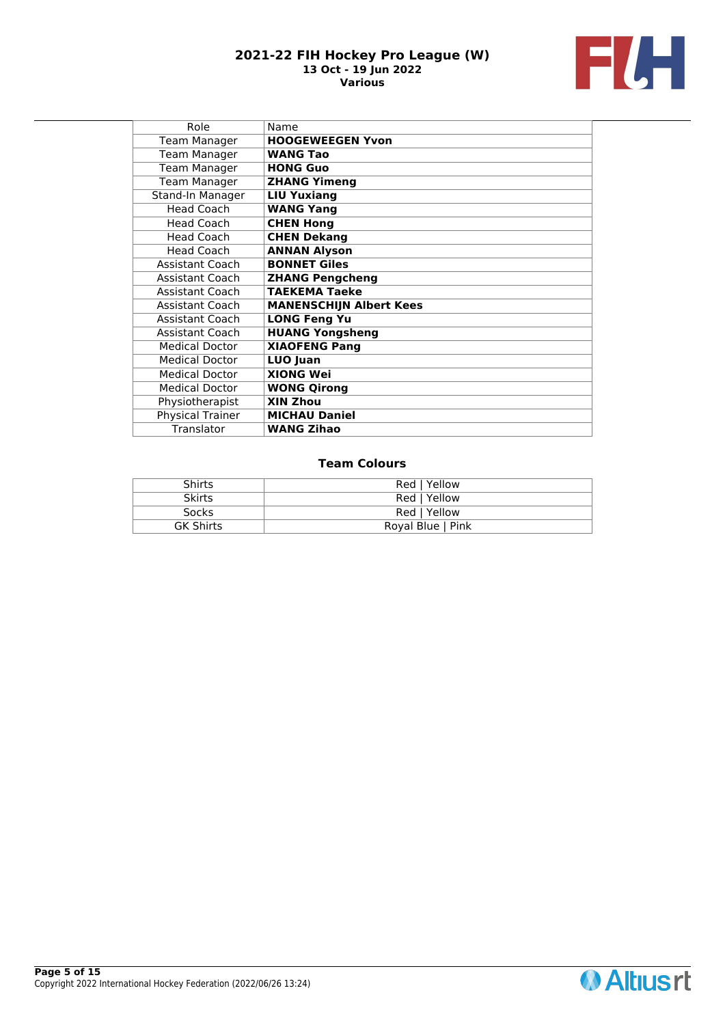

| Role                    | Name                           |
|-------------------------|--------------------------------|
| <b>Team Manager</b>     | <b>HOOGEWEEGEN Yvon</b>        |
| <b>Team Manager</b>     | <b>WANG Tao</b>                |
| <b>Team Manager</b>     | <b>HONG Guo</b>                |
| <b>Team Manager</b>     | <b>ZHANG Yimeng</b>            |
| <b>Stand-In Manager</b> | <b>LIU Yuxiang</b>             |
| <b>Head Coach</b>       | <b>WANG Yang</b>               |
| <b>Head Coach</b>       | <b>CHEN Hong</b>               |
| <b>Head Coach</b>       | <b>CHEN Dekang</b>             |
| <b>Head Coach</b>       | <b>ANNAN Alyson</b>            |
| Assistant Coach         | <b>BONNET Giles</b>            |
| <b>Assistant Coach</b>  | <b>ZHANG Pengcheng</b>         |
| <b>Assistant Coach</b>  | <b>TAEKEMA Taeke</b>           |
| <b>Assistant Coach</b>  | <b>MANENSCHIJN Albert Kees</b> |
| <b>Assistant Coach</b>  | <b>LONG Feng Yu</b>            |
| <b>Assistant Coach</b>  | <b>HUANG Yongsheng</b>         |
| <b>Medical Doctor</b>   | <b>XIAOFENG Pang</b>           |
| <b>Medical Doctor</b>   | LUO Juan                       |
| <b>Medical Doctor</b>   | <b>XIONG Wei</b>               |
| <b>Medical Doctor</b>   | <b>WONG Qirong</b>             |
| Physiotherapist         | XIN Zhou                       |
| <b>Physical Trainer</b> | <b>MICHAU Daniel</b>           |
| Translator              | <b>WANG Zihao</b>              |

| <b>Shirts</b>    | Red   Yellow      |
|------------------|-------------------|
| <b>Skirts</b>    | Red   Yellow      |
| Socks            | Red   Yellow      |
| <b>GK Shirts</b> | Royal Blue   Pink |

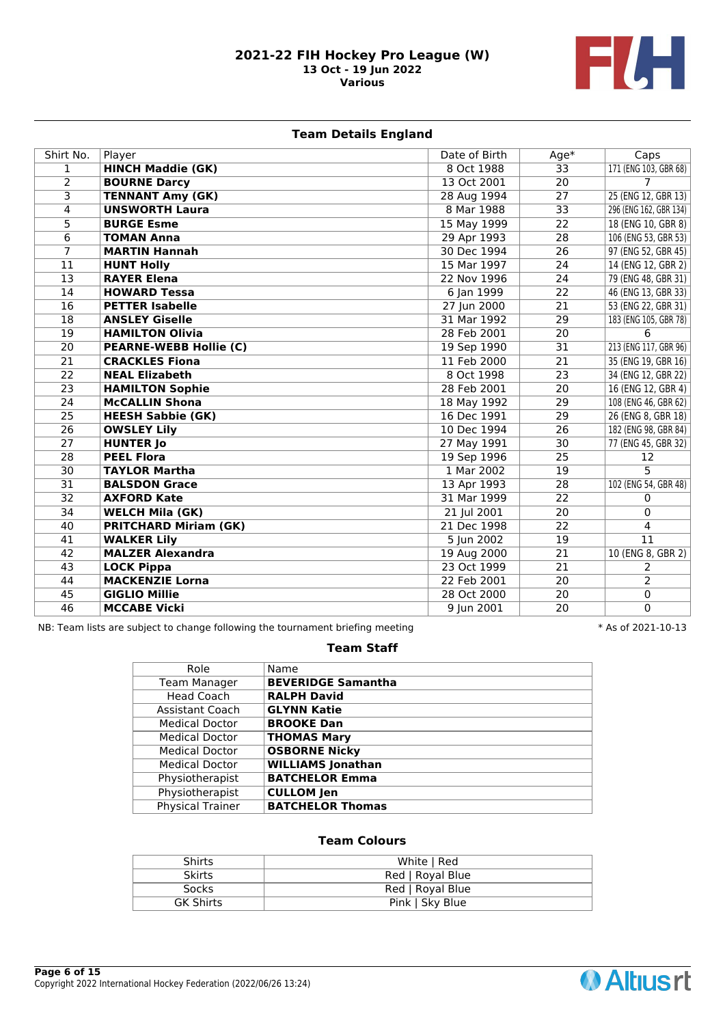

# **Team Details England**

| Shirt No.       | Player                        | Date of Birth | $Age*$          | Caps                   |
|-----------------|-------------------------------|---------------|-----------------|------------------------|
| 1               | <b>HINCH Maddie (GK)</b>      | 8 Oct 1988    | $\overline{33}$ | 171 (ENG 103, GBR 68)  |
| $\overline{2}$  | <b>BOURNE Darcy</b>           | 13 Oct 2001   | $\overline{20}$ | 7                      |
| 3               | <b>TENNANT Amy (GK)</b>       | 28 Aug 1994   | $\overline{27}$ | 25 (ENG 12, GBR 13)    |
| 4               | <b>UNSWORTH Laura</b>         | 8 Mar 1988    | $\overline{33}$ | 296 (ENG 162, GBR 134) |
| $\overline{5}$  | <b>BURGE Esme</b>             | 15 May 1999   | $\overline{22}$ | 18 (ENG 10, GBR 8)     |
| 6               | <b>TOMAN Anna</b>             | 29 Apr 1993   | 28              | 106 (ENG 53, GBR 53)   |
| 7               | <b>MARTIN Hannah</b>          | 30 Dec 1994   | 26              | 97 (ENG 52, GBR 45)    |
| 11              | <b>HUNT Holly</b>             | 15 Mar 1997   | 24              | 14 (ENG 12, GBR 2)     |
| 13              | <b>RAYER Elena</b>            | 22 Nov 1996   | 24              | 79 (ENG 48, GBR 31)    |
| 14              | <b>HOWARD Tessa</b>           | 6 Jan 1999    | 22              | 46 (ENG 13, GBR 33)    |
| 16              | <b>PETTER Isabelle</b>        | 27 Jun 2000   | 21              | 53 (ENG 22, GBR 31)    |
| 18              | <b>ANSLEY Giselle</b>         | 31 Mar 1992   | 29              | 183 (ENG 105, GBR 78)  |
| 19              | <b>HAMILTON Olivia</b>        | 28 Feb 2001   | 20              | 6                      |
| $\overline{20}$ | <b>PEARNE-WEBB Hollie (C)</b> | 19 Sep 1990   | $\overline{31}$ | 213 (ENG 117, GBR 96)  |
| 21              | <b>CRACKLES Fiona</b>         | 11 Feb 2000   | $\overline{21}$ | 35 (ENG 19, GBR 16)    |
| $\overline{22}$ | <b>NEAL Elizabeth</b>         | 8 Oct 1998    | $\overline{23}$ | 34 (ENG 12, GBR 22)    |
| 23              | <b>HAMILTON Sophie</b>        | 28 Feb 2001   | 20              | 16 (ENG 12, GBR 4)     |
| 24              | <b>McCALLIN Shona</b>         | 18 May 1992   | 29              | 108 (ENG 46, GBR 62)   |
| 25              | <b>HEESH Sabbie (GK)</b>      | 16 Dec 1991   | 29              | 26 (ENG 8, GBR 18)     |
| $\overline{26}$ | <b>OWSLEY Lily</b>            | 10 Dec 1994   | $\overline{26}$ | 182 (ENG 98, GBR 84)   |
| $\overline{27}$ | <b>HUNTER Jo</b>              | 27 May 1991   | 30              | 77 (ENG 45, GBR 32)    |
| $\overline{28}$ | <b>PEEL Flora</b>             | 19 Sep 1996   | 25              | 12                     |
| 30              | <b>TAYLOR Martha</b>          | 1 Mar 2002    | 19              | 5                      |
| 31              | <b>BALSDON Grace</b>          | 13 Apr 1993   | 28              | 102 (ENG 54, GBR 48)   |
| $\overline{32}$ | <b>AXFORD Kate</b>            | 31 Mar 1999   | $\overline{22}$ | 0                      |
| 34              | <b>WELCH Mila (GK)</b>        | 21 Jul 2001   | 20              | 0                      |
| 40              | <b>PRITCHARD Miriam (GK)</b>  | 21 Dec 1998   | $\overline{22}$ | 4                      |
| 41              | <b>WALKER Lily</b>            | 5 Jun 2002    | 19              | 11                     |
| 42              | <b>MALZER Alexandra</b>       | 19 Aug 2000   | 21              | 10 (ENG 8, GBR 2)      |
| 43              | <b>LOCK Pippa</b>             | 23 Oct 1999   | 21              | $\overline{2}$         |
| 44              | <b>MACKENZIE Lorna</b>        | 22 Feb 2001   | 20              | 2                      |
| 45              | <b>GIGLIO Millie</b>          | 28 Oct 2000   | 20              | $\mathbf 0$            |
| 46              | <b>MCCABE Vicki</b>           | 9 Jun 2001    | $\overline{20}$ | $\overline{0}$         |

NB: Team lists are subject to change following the tournament briefing meeting  $* A s$  of 2021-10-13

# **Team Staff**

| Role                    | Name                      |
|-------------------------|---------------------------|
| <b>Team Manager</b>     | <b>BEVERIDGE Samantha</b> |
| Head Coach              | <b>RALPH David</b>        |
| Assistant Coach         | <b>GLYNN Katie</b>        |
| <b>Medical Doctor</b>   | <b>BROOKE Dan</b>         |
| <b>Medical Doctor</b>   | <b>THOMAS Mary</b>        |
| <b>Medical Doctor</b>   | <b>OSBORNE Nicky</b>      |
| <b>Medical Doctor</b>   | <b>WILLIAMS Jonathan</b>  |
| Physiotherapist         | <b>BATCHELOR Emma</b>     |
| Physiotherapist         | <b>CULLOM Jen</b>         |
| <b>Physical Trainer</b> | <b>BATCHELOR Thomas</b>   |

| <b>Shirts</b>    | White   Red      |
|------------------|------------------|
| <b>Skirts</b>    | Red   Royal Blue |
| Socks            | Red   Royal Blue |
| <b>GK Shirts</b> | Pink   Sky Blue  |

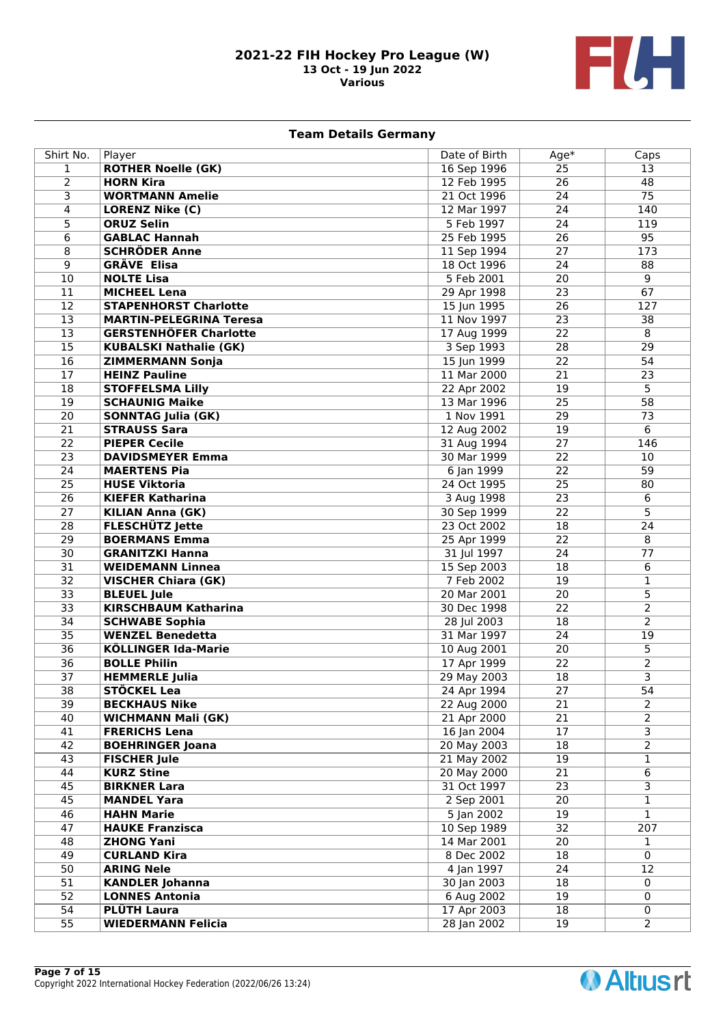

# **Team Details Germany**

| Shirt No.               | Player                                          | Date of Birth              | $Age*$          | Caps                             |
|-------------------------|-------------------------------------------------|----------------------------|-----------------|----------------------------------|
| $\mathbf{1}$            | <b>ROTHER Noelle (GK)</b>                       | 16 Sep 1996                | $\overline{25}$ | 13                               |
| $\overline{2}$          | <b>HORN Kira</b>                                | 12 Feb 1995                | $\overline{26}$ | 48                               |
| $\overline{\mathsf{3}}$ | <b>WORTMANN Amelie</b>                          | 21 Oct 1996                | 24              | $\overline{75}$                  |
| 4                       | <b>LORENZ Nike (C)</b>                          | 12 Mar 1997                | 24              | 140                              |
| 5                       | <b>ORUZ Selin</b>                               | 5 Feb 1997                 | 24              | 119                              |
| 6                       | <b>GABLAC Hannah</b>                            | 25 Feb 1995                | $\overline{26}$ | 95                               |
| 8                       | <b>SCHRÖDER Anne</b>                            | 11 Sep 1994                | 27              | 173                              |
| $\overline{9}$          | <b>GRÄVE Elisa</b>                              | 18 Oct 1996                | 24              | 88                               |
| $\overline{10}$         | <b>NOLTE Lisa</b>                               | 5 Feb 2001                 | $\overline{20}$ | $\overline{9}$                   |
| $\overline{11}$         | <b>MICHEEL Lena</b>                             | 29 Apr 1998                | $\overline{23}$ | 67                               |
| $\overline{12}$         | <b>STAPENHORST Charlotte</b>                    | 15 Jun 1995                | 26              | 127                              |
| $\overline{13}$         | <b>MARTIN-PELEGRINA Teresa</b>                  | 11 Nov 1997                | $\overline{23}$ | $\overline{38}$                  |
| $\overline{13}$         | <b>GERSTENHÖFER Charlotte</b>                   | 17 Aug 1999                | $\overline{22}$ | $\overline{8}$                   |
| $\overline{15}$         | <b>KUBALSKI Nathalie (GK)</b>                   | 3 Sep 1993                 | $\overline{28}$ | $\overline{29}$                  |
| 16                      | <b>ZIMMERMANN Sonja</b>                         | 15 Jun 1999                | 22              | 54                               |
| 17                      | <b>HEINZ Pauline</b>                            | 11 Mar 2000                | $\overline{21}$ | $\overline{23}$                  |
| $\overline{18}$         | <b>STOFFELSMA Lilly</b>                         | 22 Apr 2002                | $\overline{19}$ | 5                                |
| $\overline{19}$         | <b>SCHAUNIG Maike</b>                           | 13 Mar 1996                | 25              | $\overline{58}$                  |
| $\overline{20}$         | <b>SONNTAG Julia (GK)</b>                       | 1 Nov 1991                 | 29              | $\overline{73}$                  |
| $\overline{21}$         | <b>STRAUSS Sara</b>                             | 12 Aug 2002                | $\overline{19}$ | 6                                |
| $\overline{22}$         | <b>PIEPER Cecile</b>                            | 31 Aug 1994                | 27              | 146                              |
| $\overline{23}$         | <b>DAVIDSMEYER Emma</b>                         | 30 Mar 1999                | $\overline{22}$ | 10                               |
| $\overline{24}$         | <b>MAERTENS Pia</b>                             | 6 Jan 1999                 | 22              | 59                               |
| $\overline{25}$         | <b>HUSE Viktoria</b>                            | 24 Oct 1995                | $\overline{25}$ | 80                               |
| $\overline{26}$         | <b>KIEFER Katharina</b>                         | 3 Aug 1998                 | $\overline{23}$ | 6                                |
| $\overline{27}$         | <b>KILIAN Anna (GK)</b>                         | 30 Sep 1999                | $\overline{22}$ | 5                                |
| $\overline{28}$         | <b>FLESCHÜTZ Jette</b>                          | 23 Oct 2002                | $\overline{18}$ | $\overline{24}$                  |
| $\overline{29}$         | <b>BOERMANS Emma</b>                            | 25 Apr 1999                | $\overline{22}$ | 8                                |
| 30                      | <b>GRANITZKI Hanna</b>                          | 31 Jul 1997                | 24              | 77                               |
| $\overline{31}$         | <b>WEIDEMANN Linnea</b>                         | 15 Sep 2003                | 18              | 6                                |
| $\overline{32}$         | <b>VISCHER Chiara (GK)</b>                      | 7 Feb 2002                 | 19              | 1                                |
| $\overline{33}$         | <b>BLEUEL Jule</b>                              | 20 Mar 2001                | 20              | 5                                |
| $\overline{33}$         | <b>KIRSCHBAUM Katharina</b>                     | 30 Dec 1998                | $\overline{22}$ | $\overline{2}$                   |
| $\overline{34}$         | <b>SCHWABE Sophia</b>                           | 28 Jul 2003                | 18              | $\overline{2}$                   |
| $\overline{35}$         | <b>WENZEL Benedetta</b>                         | 31 Mar 1997                | $\overline{24}$ | $\overline{19}$                  |
| $\overline{36}$         | <b>KÖLLINGER Ida-Marie</b>                      | 10 Aug 2001                | 20              | 5                                |
| $\overline{36}$         | <b>BOLLE Philin</b>                             | 17 Apr 1999                | $\overline{22}$ | $\overline{2}$                   |
| 37                      | <b>HEMMERLE Julia</b>                           | 29 May 2003                | 18              | 3                                |
| 38                      | STÖCKEL Lea                                     | 24 Apr 1994                | 27              | 54                               |
| 39                      | <b>BECKHAUS Nike</b>                            | 22 Aug 2000                | 21              | 2                                |
| 40<br>41                | <b>WICHMANN Mali (GK)</b>                       | 21 Apr 2000                | 21<br>17        | $\overline{2}$<br>$\overline{3}$ |
| 42                      | <b>FRERICHS Lena</b><br><b>BOEHRINGER Joana</b> | 16 Jan 2004<br>20 May 2003 | 18              | $\overline{2}$                   |
| 43                      | <b>FISCHER Jule</b>                             | 21 May 2002                | 19              | $\mathbf{1}$                     |
| 44                      | <b>KURZ Stine</b>                               | 20 May 2000                | 21              | 6                                |
| 45                      | <b>BIRKNER Lara</b>                             | 31 Oct 1997                | 23              | $\overline{3}$                   |
| 45                      | <b>MANDEL Yara</b>                              | 2 Sep 2001                 | 20              | $\mathbf{1}$                     |
| 46                      | <b>HAHN Marie</b>                               | 5 Jan 2002                 | 19              | 1                                |
| 47                      | <b>HAUKE Franzisca</b>                          | 10 Sep 1989                | 32              | 207                              |
| 48                      | <b>ZHONG Yani</b>                               | 14 Mar 2001                | 20              | $\mathbf{1}$                     |
| 49                      | <b>CURLAND Kira</b>                             | 8 Dec 2002                 | 18              | $\mathbf 0$                      |
| 50                      | <b>ARING Nele</b>                               | 4 Jan 1997                 | 24              | 12                               |
| $\overline{51}$         | <b>KANDLER Johanna</b>                          | 30 Jan 2003                | 18              | 0                                |
| 52                      | <b>LONNES Antonia</b>                           | 6 Aug 2002                 | 19              | 0                                |
| 54                      | PLÜTH Laura                                     | 17 Apr 2003                | 18              | $\mathbf 0$                      |
| $\overline{55}$         | <b>WIEDERMANN Felicia</b>                       | 28 Jan 2002                | 19              | $\overline{2}$                   |



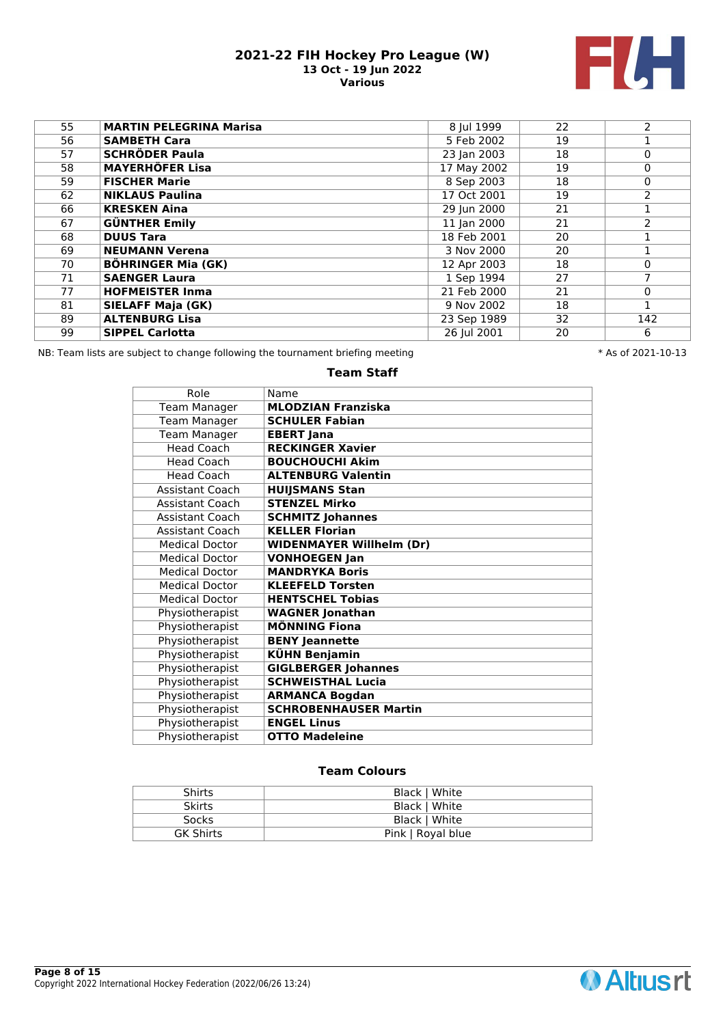

| <b>MARTIN PELEGRINA Marisa</b> | 8 Jul 1999                                     | 22 | $\overline{2}$ |
|--------------------------------|------------------------------------------------|----|----------------|
| <b>SAMBETH Cara</b>            | 5 Feb 2002                                     | 19 |                |
| <b>SCHRÖDER Paula</b>          | 23 Jan 2003                                    | 18 | $\mathbf{0}$   |
|                                | 17 May 2002                                    | 19 | $\mathbf 0$    |
| <b>FISCHER Marie</b>           | 8 Sep 2003                                     | 18 | $\mathbf 0$    |
| <b>NIKLAUS Paulina</b>         | 17 Oct 2001                                    | 19 | $\overline{2}$ |
| <b>KRESKEN Aina</b>            | 29 Jun 2000                                    | 21 |                |
|                                | 11 Jan 2000                                    | 21 | $\overline{2}$ |
| <b>DUUS Tara</b>               | 18 Feb 2001                                    | 20 |                |
| <b>NEUMANN Verena</b>          | 3 Nov 2000                                     | 20 |                |
| <b>BÖHRINGER Mia (GK)</b>      | 12 Apr 2003                                    | 18 | $\mathbf{0}$   |
| <b>SAENGER Laura</b>           | 1 Sep 1994                                     | 27 | 7              |
| <b>HOFMEISTER Inma</b>         | 21 Feb 2000                                    | 21 | $\mathbf 0$    |
| <b>SIELAFF Maja (GK)</b>       | 9 Nov 2002                                     | 18 |                |
| <b>ALTENBURG Lisa</b>          | 23 Sep 1989                                    | 32 | 142            |
| <b>SIPPEL Carlotta</b>         | 26 Jul 2001                                    | 20 | 6              |
|                                | <b>MAYERHÖFER Lisa</b><br><b>GÜNTHER Emily</b> |    |                |

NB: Team lists are subject to change following the tournament briefing meeting **the subset of 2021-10-13** \* As of 2021-10-13

# **Team Staff**

| Role                   | Name                            |
|------------------------|---------------------------------|
| Team Manager           | <b>MLODZIAN Franziska</b>       |
| <b>Team Manager</b>    | <b>SCHULER Fabian</b>           |
| <b>Team Manager</b>    | <b>EBERT Jana</b>               |
| <b>Head Coach</b>      | <b>RECKINGER Xavier</b>         |
| <b>Head Coach</b>      | <b>BOUCHOUCHI Akim</b>          |
| <b>Head Coach</b>      | <b>ALTENBURG Valentin</b>       |
| <b>Assistant Coach</b> | <b>HUIJSMANS Stan</b>           |
| <b>Assistant Coach</b> | <b>STENZEL Mirko</b>            |
| Assistant Coach        | <b>SCHMITZ Johannes</b>         |
| <b>Assistant Coach</b> | <b>KELLER Florian</b>           |
| <b>Medical Doctor</b>  | <b>WIDENMAYER Willhelm (Dr)</b> |
| <b>Medical Doctor</b>  | <b>VONHOEGEN Jan</b>            |
| <b>Medical Doctor</b>  | <b>MANDRYKA Boris</b>           |
| <b>Medical Doctor</b>  | <b>KLEEFELD Torsten</b>         |
| <b>Medical Doctor</b>  | <b>HENTSCHEL Tobias</b>         |
| Physiotherapist        | <b>WAGNER Jonathan</b>          |
| Physiotherapist        | <b>MÖNNING Fiona</b>            |
| Physiotherapist        | <b>BENY Jeannette</b>           |
| Physiotherapist        | KÜHN Benjamin                   |
| Physiotherapist        | <b>GIGLBERGER Johannes</b>      |
| Physiotherapist        | <b>SCHWEISTHAL Lucia</b>        |
| Physiotherapist        | <b>ARMANCA Bogdan</b>           |
| Physiotherapist        | <b>SCHROBENHAUSER Martin</b>    |
| Physiotherapist        | <b>ENGEL Linus</b>              |
| Physiotherapist        | <b>OTTO Madeleine</b>           |

| <b>Shirts</b>    | Black   White     |
|------------------|-------------------|
| <b>Skirts</b>    | Black   White     |
| <b>Socks</b>     | Black   White     |
| <b>GK Shirts</b> | Pink   Royal blue |

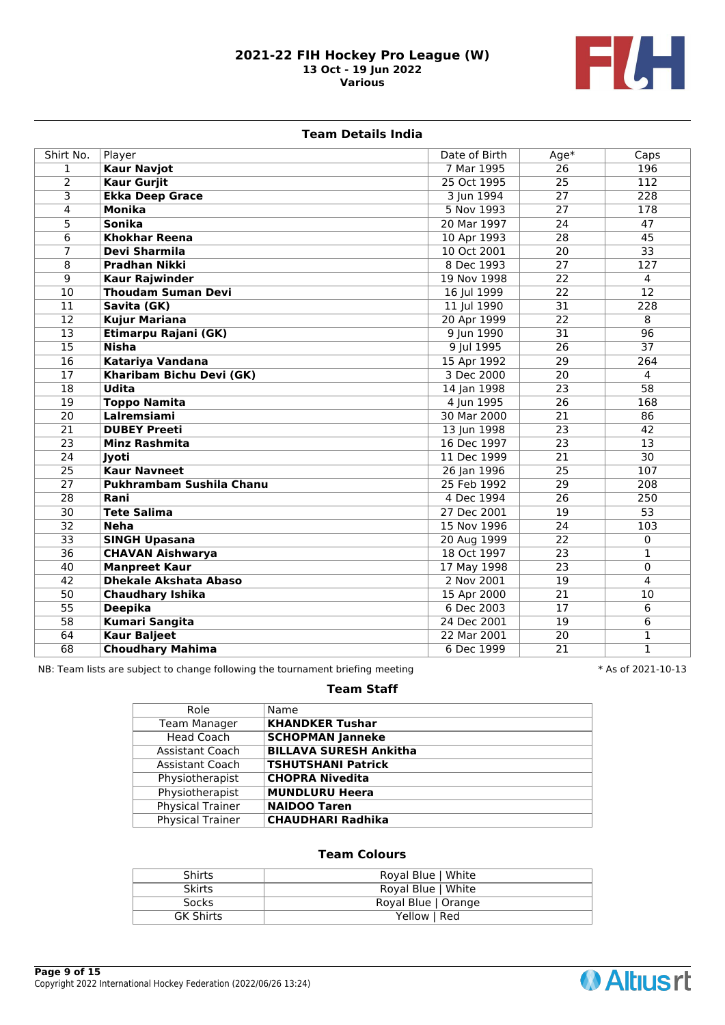

### **Team Details India**

| Shirt No.       | Player                       | Date of Birth | $Age*$          | Caps             |
|-----------------|------------------------------|---------------|-----------------|------------------|
| $\mathbf{1}$    | <b>Kaur Navjot</b>           | 7 Mar 1995    | 26              | 196              |
| $\overline{2}$  | <b>Kaur Gurjit</b>           | 25 Oct 1995   | 25              | 112              |
| $\overline{3}$  | <b>Ekka Deep Grace</b>       | 3 Jun 1994    | 27              | 228              |
| $\overline{4}$  | <b>Monika</b>                | 5 Nov 1993    | 27              | 178              |
| 5               | <b>Sonika</b>                | 20 Mar 1997   | 24              | 47               |
| 6               | <b>Khokhar Reena</b>         | 10 Apr 1993   | 28              | 45               |
| $\overline{7}$  | Devi Sharmila                | 10 Oct 2001   | $\overline{20}$ | $\overline{33}$  |
| 8               | <b>Pradhan Nikki</b>         | 8 Dec 1993    | $\overline{27}$ | $\overline{127}$ |
| $\overline{9}$  | <b>Kaur Rajwinder</b>        | 19 Nov 1998   | 22              | $\overline{4}$   |
| $\overline{10}$ | <b>Thoudam Suman Devi</b>    | 16 Jul 1999   | 22              | $\overline{12}$  |
| $\overline{11}$ | Savita (GK)                  | 11 Jul 1990   | 31              | 228              |
| $\overline{12}$ | <b>Kujur Mariana</b>         | 20 Apr 1999   | 22              | $\overline{8}$   |
| $\overline{13}$ | Etimarpu Rajani (GK)         | 9 Jun 1990    | 31              | 96               |
| $\overline{15}$ | <b>Nisha</b>                 | 9 Jul 1995    | $\overline{26}$ | $\overline{37}$  |
| $\overline{16}$ | Katariya Vandana             | 15 Apr 1992   | 29              | 264              |
| $\overline{17}$ | Kharibam Bichu Devi (GK)     | 3 Dec 2000    | 20              | $\overline{4}$   |
| $\overline{18}$ | <b>Udita</b>                 | 14 Jan 1998   | 23              | $\overline{58}$  |
| $\overline{19}$ | <b>Toppo Namita</b>          | 4 Jun 1995    | 26              | 168              |
| $\overline{20}$ | Lalremsiami                  | 30 Mar 2000   | $\overline{21}$ | 86               |
| $\overline{21}$ | <b>DUBEY Preeti</b>          | 13 Jun 1998   | $\overline{23}$ | 42               |
| $\overline{23}$ | <b>Minz Rashmita</b>         | 16 Dec 1997   | $\overline{23}$ | 13               |
| $\overline{24}$ | Jyoti                        | 11 Dec 1999   | 21              | $\overline{30}$  |
| $\overline{25}$ | <b>Kaur Navneet</b>          | 26 Jan 1996   | 25              | 107              |
| $\overline{27}$ | Pukhrambam Sushila Chanu     | 25 Feb 1992   | $\overline{29}$ | 208              |
| $\overline{28}$ | Rani                         | 4 Dec 1994    | $\overline{26}$ | 250              |
| $\overline{30}$ | <b>Tete Salima</b>           | 27 Dec 2001   | 19              | $\overline{53}$  |
| $\overline{32}$ | <b>Neha</b>                  | 15 Nov 1996   | 24              | 103              |
| $\overline{33}$ | <b>SINGH Upasana</b>         | 20 Aug 1999   | 22              | 0                |
| $\overline{36}$ | <b>CHAVAN Aishwarya</b>      | 18 Oct 1997   | 23              | 1                |
| $\overline{40}$ | <b>Manpreet Kaur</b>         | 17 May 1998   | 23              | 0                |
| $\overline{42}$ | <b>Dhekale Akshata Abaso</b> | 2 Nov 2001    | 19              | 4                |
| $\overline{50}$ | <b>Chaudhary Ishika</b>      | 15 Apr 2000   | 21              | 10               |
| $\overline{55}$ | <b>Deepika</b>               | 6 Dec 2003    | 17              | 6                |
| $\overline{58}$ | <b>Kumari Sangita</b>        | 24 Dec 2001   | 19              | 6                |
| 64              | <b>Kaur Baljeet</b>          | 22 Mar 2001   | 20              | 1                |
| $\overline{68}$ | <b>Choudhary Mahima</b>      | 6 Dec 1999    | 21              | 1                |

NB: Team lists are subject to change following the tournament briefing meeting \* \* As of 2021-10-13

# **Team Staff**

| Role                    | Name                          |
|-------------------------|-------------------------------|
| <b>Team Manager</b>     | <b>KHANDKER Tushar</b>        |
| <b>Head Coach</b>       | <b>SCHOPMAN Janneke</b>       |
| Assistant Coach         | <b>BILLAVA SURESH Ankitha</b> |
| Assistant Coach         | <b>TSHUTSHANI Patrick</b>     |
| Physiotherapist         | <b>CHOPRA Nivedita</b>        |
| Physiotherapist         | <b>MUNDLURU Heera</b>         |
| <b>Physical Trainer</b> | <b>NAIDOO Taren</b>           |
| <b>Physical Trainer</b> | <b>CHAUDHARI Radhika</b>      |
|                         |                               |

| Royal Blue   White  |
|---------------------|
|                     |
| Royal Blue   White  |
|                     |
| Royal Blue   Orange |
|                     |
| Yellow   Red        |
|                     |
|                     |

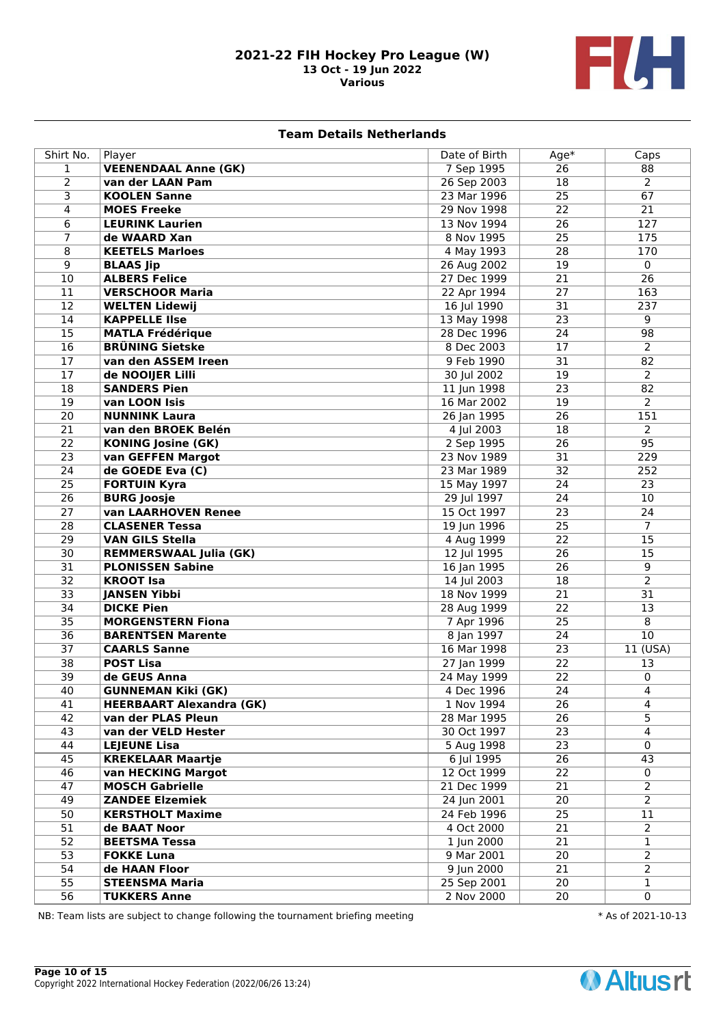

### **Team Details Netherlands**

| Shirt No.       | Player                                                       | Date of Birth            | Age*            | Caps            |
|-----------------|--------------------------------------------------------------|--------------------------|-----------------|-----------------|
| $\mathbf{1}$    | <b>VEENENDAAL Anne (GK)</b>                                  | 7 Sep 1995               | $\overline{26}$ | 88              |
| $\overline{2}$  | van der LAAN Pam                                             | 26 Sep 2003              | $\overline{18}$ | $\overline{2}$  |
| 3               | <b>KOOLEN Sanne</b>                                          | 23 Mar 1996              | 25              | 67              |
| 4               | <b>MOES Freeke</b>                                           | 29 Nov 1998              | 22              | 21              |
| 6               | <b>LEURINK Laurien</b>                                       | 13 Nov 1994              | 26              | 127             |
| 7               | de WAARD Xan                                                 | 8 Nov 1995               | 25              | 175             |
| 8               | <b>KEETELS Marloes</b>                                       | 4 May 1993               | $\overline{28}$ | 170             |
| 9               | <b>BLAAS Jip</b>                                             | 26 Aug 2002              | 19              | $\mathbf 0$     |
| 10              | <b>ALBERS Felice</b>                                         | 27 Dec 1999              | 21              | $\overline{26}$ |
| 11              | <b>VERSCHOOR Maria</b>                                       | 22 Apr 1994              | 27              | 163             |
| 12              | <b>WELTEN Lidewij</b>                                        | 16 Jul 1990              | $\overline{31}$ | 237             |
| 14              | <b>KAPPELLE IIse</b>                                         | 13 May 1998              | 23              | 9               |
| 15              | <b>MATLA Frédérique</b>                                      | 28 Dec 1996              | 24              | 98              |
| 16              | <b>BRÜNING Sietske</b>                                       | 8 Dec 2003               | 17              | $\overline{2}$  |
| 17              | van den ASSEM Ireen                                          | 9 Feb 1990               | 31              | 82              |
| 17              | de NOOIJER Lilli                                             | 30 Jul 2002              | 19              | $\overline{2}$  |
| $\overline{18}$ | <b>SANDERS Pien</b>                                          | 11 Jun 1998              | 23              | 82              |
| $\overline{19}$ | van LOON Isis                                                | 16 Mar 2002              | 19              | $\overline{2}$  |
| $\overline{20}$ | <b>NUNNINK Laura</b>                                         | 26 Jan 1995              | $\overline{26}$ | 151             |
| 21              | van den BROEK Belén                                          | 4 Jul 2003               | 18              | $\overline{2}$  |
| 22              | <b>KONING Josine (GK)</b>                                    | 2 Sep 1995               | $\overline{26}$ | 95              |
| 23              | van GEFFEN Margot                                            | 23 Nov 1989              | 31              | 229             |
| $\overline{24}$ | de GOEDE Eva (C)                                             | 23 Mar 1989              | $\overline{32}$ | 252             |
| $\overline{25}$ | <b>FORTUIN Kyra</b>                                          | 15 May 1997              | 24              | 23              |
| $\overline{26}$ | <b>BURG Joosje</b>                                           | 29 Jul 1997              | $\overline{24}$ | $\overline{10}$ |
| $\overline{27}$ | van LAARHOVEN Renee                                          | 15 Oct 1997              | 23              | 24              |
| $\overline{28}$ | <b>CLASENER Tessa</b>                                        | 19 Jun 1996              | $\overline{25}$ | $\overline{7}$  |
| 29              | <b>VAN GILS Stella</b>                                       | 4 Aug 1999               | 22              | 15              |
| $\overline{30}$ | <b>REMMERSWAAL Julia (GK)</b>                                | 12 Jul 1995              | 26              | 15              |
| 31              | <b>PLONISSEN Sabine</b>                                      | 16 Jan 1995              | 26              | 9               |
| $\overline{32}$ | <b>KROOT Isa</b>                                             | 14 Jul 2003              | 18              | $\overline{2}$  |
| $\overline{33}$ | <b>JANSEN Yibbi</b>                                          | 18 Nov 1999              | $\overline{21}$ | $\overline{31}$ |
| $\overline{34}$ | <b>DICKE Pien</b>                                            | 28 Aug 1999              | 22              | 13              |
| $\overline{35}$ | <b>MORGENSTERN Fiona</b>                                     | 7 Apr 1996               | $\overline{25}$ | 8               |
| $\overline{36}$ | <b>BARENTSEN Marente</b>                                     | 8 Jan 1997               | 24              | $\overline{10}$ |
| 37              | <b>CAARLS Sanne</b>                                          | 16 Mar 1998              | 23              | $11$ (USA)      |
| 38              | <b>POST Lisa</b>                                             | 27 Jan 1999              | $\overline{22}$ | 13              |
| 39              | de GEUS Anna                                                 | 24 May 1999              | 22              | $\mathbf 0$     |
| 40              |                                                              |                          | $\overline{24}$ | 4               |
| 41              | <b>GUNNEMAN Kiki (GK)</b><br><b>HEERBAART Alexandra (GK)</b> | 4 Dec 1996<br>1 Nov 1994 | 26              | 4               |
| 42              | van der PLAS Pleun                                           | 28 Mar 1995              | $\overline{26}$ | $\overline{5}$  |
| 43              | van der VELD Hester                                          | 30 Oct 1997              | $\overline{23}$ | $\overline{4}$  |
| 44              | <b>LEJEUNE Lisa</b>                                          | 5 Aug 1998               | $\overline{23}$ | $\mathbf 0$     |
| 45              | <b>KREKELAAR Maartje</b>                                     | 6 Jul 1995               | 26              | $\overline{43}$ |
| 46              | van HECKING Margot                                           | 12 Oct 1999              | 22              | 0               |
| 47              | <b>MOSCH Gabrielle</b>                                       | 21 Dec 1999              | 21              | $\overline{2}$  |
| 49              | <b>ZANDEE Elzemiek</b>                                       | 24 Jun 2001              | 20              | $\overline{2}$  |
| $\overline{50}$ | <b>KERSTHOLT Maxime</b>                                      | 24 Feb 1996              | $\overline{25}$ | 11              |
| $\overline{51}$ | de BAAT Noor                                                 | 4 Oct 2000               | $\overline{21}$ | $\overline{2}$  |
| $\overline{52}$ | <b>BEETSMA Tessa</b>                                         | 1 Jun 2000               | 21              | $\mathbf{1}$    |
| $\overline{53}$ | <b>FOKKE Luna</b>                                            | 9 Mar 2001               | 20              | $\overline{2}$  |
| 54              |                                                              | 9 Jun 2000               | 21              | $\overline{2}$  |
| $\overline{55}$ | de HAAN Floor<br><b>STEENSMA Maria</b>                       | 25 Sep 2001              | 20              | $\mathbf{1}$    |
| 56              |                                                              |                          |                 |                 |
|                 | <b>TUKKERS Anne</b>                                          | 2 Nov 2000               | 20              | $\mathbf 0$     |

NB: Team lists are subject to change following the tournament briefing meeting  $* A s$  of 2021-10-13

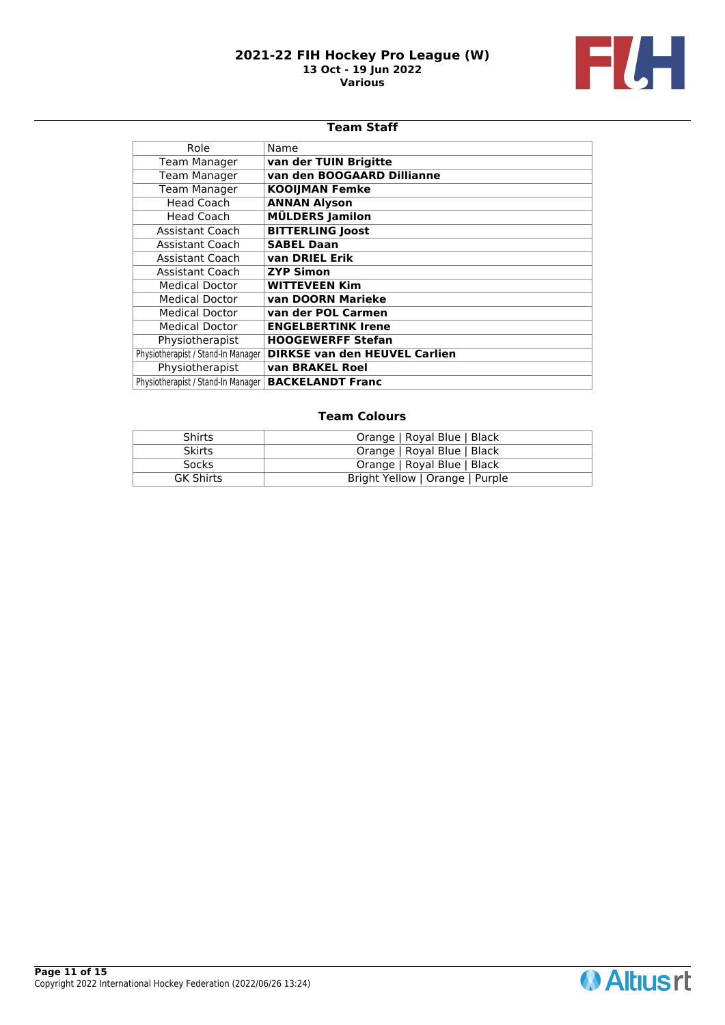

## **Team Staff**

| Role                               | Name                                 |
|------------------------------------|--------------------------------------|
| <b>Team Manager</b>                | van der TUIN Brigitte                |
| <b>Team Manager</b>                | van den BOOGAARD Dillianne           |
| <b>Team Manager</b>                | <b>KOOIJMAN Femke</b>                |
| <b>Head Coach</b>                  | <b>ANNAN Alyson</b>                  |
| Head Coach                         | <b>MÜLDERS Jamilon</b>               |
| Assistant Coach                    | <b>BITTERLING Joost</b>              |
| Assistant Coach                    | <b>SABEL Daan</b>                    |
| Assistant Coach                    | van DRIEL Erik                       |
| <b>Assistant Coach</b>             | <b>ZYP Simon</b>                     |
| <b>Medical Doctor</b>              | <b>WITTEVEEN Kim</b>                 |
| <b>Medical Doctor</b>              | van DOORN Marieke                    |
| <b>Medical Doctor</b>              | van der POL Carmen                   |
| <b>Medical Doctor</b>              | <b>ENGELBERTINK Irene</b>            |
| Physiotherapist                    | <b>HOOGEWERFF Stefan</b>             |
| Physiotherapist / Stand-In Manager | <b>DIRKSE van den HEUVEL Carlien</b> |
| Physiotherapist                    | van BRAKEL Roel                      |
| Physiotherapist / Stand-In Manager | <b>BACKELANDT Franc</b>              |

| <b>Shirts</b>    | Orange   Royal Blue   Black     |
|------------------|---------------------------------|
| <b>Skirts</b>    | Orange   Royal Blue   Black     |
| <b>Socks</b>     | Orange   Royal Blue   Black     |
| <b>GK Shirts</b> | Bright Yellow   Orange   Purple |

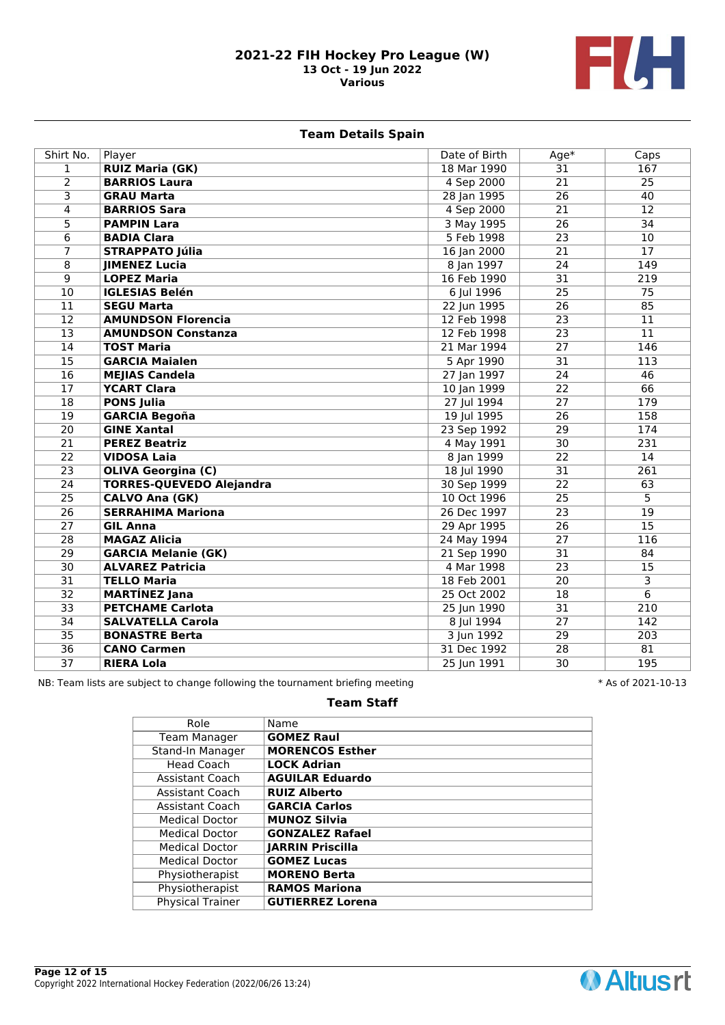

# **Team Details Spain**

| Shirt No.               | Player                          | Date of Birth | Age*            | Caps             |
|-------------------------|---------------------------------|---------------|-----------------|------------------|
| $\mathbf{1}$            | <b>RUIZ Maria (GK)</b>          | 18 Mar 1990   | $\overline{31}$ | 167              |
| $\overline{2}$          | <b>BARRIOS Laura</b>            | 4 Sep 2000    | $\overline{21}$ | $\overline{25}$  |
| $\overline{\mathbf{3}}$ | <b>GRAU Marta</b>               | 28 Jan 1995   | $\overline{26}$ | 40               |
| 4                       | <b>BARRIOS Sara</b>             | 4 Sep 2000    | $\overline{21}$ | $\overline{12}$  |
| $\overline{5}$          | <b>PAMPIN Lara</b>              | 3 May 1995    | $\overline{26}$ | 34               |
| 6                       | <b>BADIA Clara</b>              | 5 Feb 1998    | $\overline{23}$ | 10               |
| 7                       | <b>STRAPPATO Júlia</b>          | 16 Jan 2000   | 21              | 17               |
| 8                       | <b>JIMENEZ Lucia</b>            | 8 Jan 1997    | 24              | 149              |
| 9                       | <b>LOPEZ Maria</b>              | 16 Feb 1990   | 31              | 219              |
| $\overline{10}$         | <b>IGLESIAS Belén</b>           | 6 Jul 1996    | 25              | 75               |
| 11                      | <b>SEGU Marta</b>               | 22 Jun 1995   | 26              | 85               |
| $\overline{12}$         | <b>AMUNDSON Florencia</b>       | 12 Feb 1998   | $\overline{23}$ | 11               |
| $\overline{13}$         | <b>AMUNDSON Constanza</b>       | 12 Feb 1998   | $\overline{23}$ | 11               |
| $\overline{14}$         | <b>TOST Maria</b>               | 21 Mar 1994   | $\overline{27}$ | $\overline{146}$ |
| $\overline{15}$         | <b>GARCIA Maialen</b>           | 5 Apr 1990    | $\overline{31}$ | 113              |
| $\overline{16}$         | <b>MEJIAS Candela</b>           | 27 Jan 1997   | $\overline{24}$ | 46               |
| $\overline{17}$         | <b>YCART Clara</b>              | 10 Jan 1999   | $\overline{22}$ | $\overline{66}$  |
| $\overline{18}$         | <b>PONS Julia</b>               | 27 Jul 1994   | $\overline{27}$ | 179              |
| $\overline{19}$         | <b>GARCIA Begoña</b>            | 19 Jul 1995   | $\overline{26}$ | 158              |
| $\overline{20}$         | <b>GINE Xantal</b>              | 23 Sep 1992   | 29              | 174              |
| 21                      | <b>PEREZ Beatriz</b>            | 4 May 1991    | 30              | 231              |
| $\overline{22}$         | <b>VIDOSA Laia</b>              | 8 Jan 1999    | $\overline{22}$ | 14               |
| $\overline{23}$         | <b>OLIVA Georgina (C)</b>       | 18 Jul 1990   | 31              | 261              |
| 24                      | <b>TORRES-QUEVEDO Alejandra</b> | 30 Sep 1999   | 22              | 63               |
| 25                      | <b>CALVO Ana (GK)</b>           | 10 Oct 1996   | 25              | $\overline{5}$   |
| 26                      | <b>SERRAHIMA Mariona</b>        | 26 Dec 1997   | 23              | 19               |
| 27                      | <b>GIL Anna</b>                 | 29 Apr 1995   | 26              | 15               |
| 28                      | <b>MAGAZ Alicia</b>             | 24 May 1994   | 27              | 116              |
| $\overline{29}$         | <b>GARCIA Melanie (GK)</b>      | 21 Sep 1990   | $\overline{31}$ | 84               |
| $\overline{30}$         | <b>ALVAREZ Patricia</b>         | 4 Mar 1998    | $\overline{23}$ | 15               |
| $\overline{31}$         | <b>TELLO Maria</b>              | 18 Feb 2001   | 20              | 3                |
| $\overline{32}$         | <b>MARTÍNEZ Jana</b>            | 25 Oct 2002   | 18              | $\overline{6}$   |
| $\overline{33}$         | <b>PETCHAME Carlota</b>         | 25 Jun 1990   | 31              | 210              |
| $\overline{34}$         | <b>SALVATELLA Carola</b>        | 8 Jul 1994    | $\overline{27}$ | 142              |
| $\overline{35}$         | <b>BONASTRE Berta</b>           | 3 Jun 1992    | 29              | 203              |
| $\overline{36}$         | <b>CANO Carmen</b>              | 31 Dec 1992   | $\overline{28}$ | 81               |
| $\overline{37}$         | <b>RIERA Lola</b>               | 25 Jun 1991   | $\overline{30}$ | 195              |

NB: Team lists are subject to change following the tournament briefing meeting  $* A s$  of 2021-10-13

### **Team Staff**

| Role                    | Name                    |
|-------------------------|-------------------------|
| <b>Team Manager</b>     | <b>GOMEZ Raul</b>       |
| Stand-In Manager        | <b>MORENCOS Esther</b>  |
| Head Coach              | <b>LOCK Adrian</b>      |
| Assistant Coach         | <b>AGUILAR Eduardo</b>  |
| Assistant Coach         | <b>RUIZ Alberto</b>     |
| Assistant Coach         | <b>GARCIA Carlos</b>    |
| Medical Doctor          | <b>MUNOZ Silvia</b>     |
| <b>Medical Doctor</b>   | <b>GONZALEZ Rafael</b>  |
| <b>Medical Doctor</b>   | <b>JARRIN Priscilla</b> |
| <b>Medical Doctor</b>   | <b>GOMEZ Lucas</b>      |
| Physiotherapist         | <b>MORENO Berta</b>     |
| Physiotherapist         | <b>RAMOS Mariona</b>    |
| <b>Physical Trainer</b> | <b>GUTIERREZ Lorena</b> |
|                         |                         |

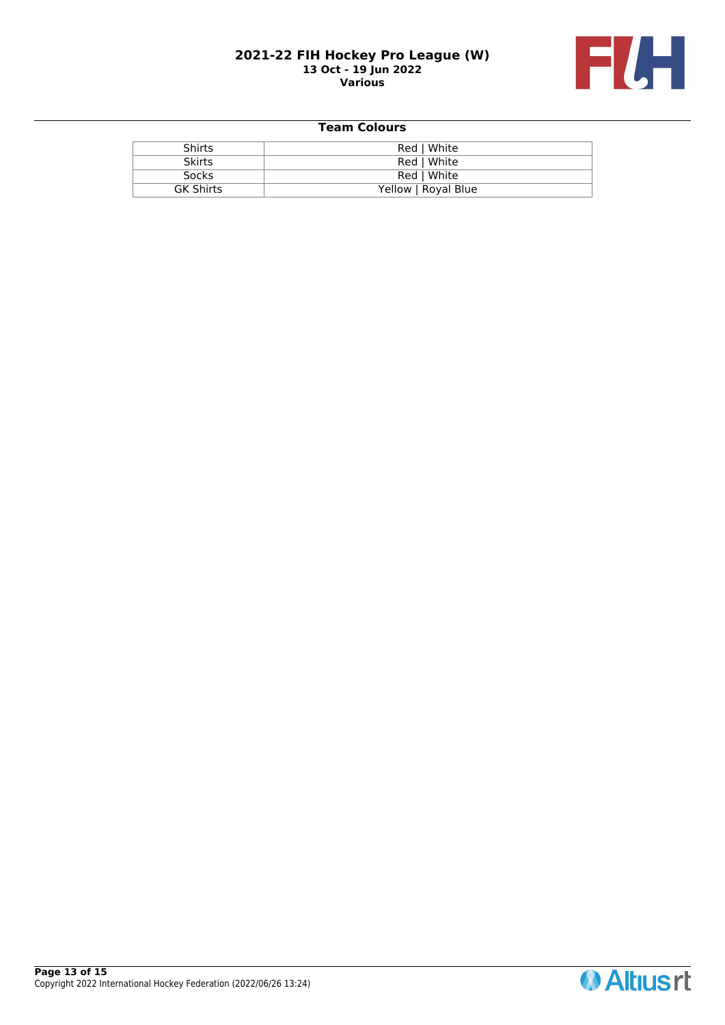

| <b>Shirts</b>    | Red   White         |
|------------------|---------------------|
| <b>Skirts</b>    | Red   White         |
| Socks            | Red   White         |
| <b>GK Shirts</b> | Yellow   Royal Blue |

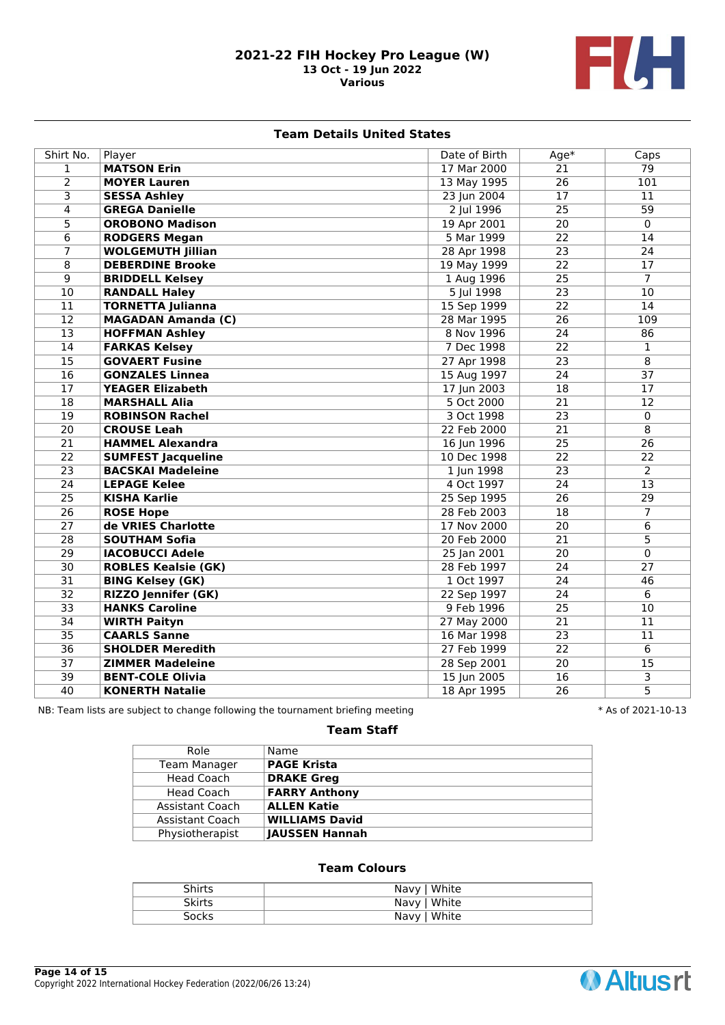

### **Team Details United States**

| Shirt No.       | Player                     | Date of Birth | $Age*$          | Caps            |
|-----------------|----------------------------|---------------|-----------------|-----------------|
| $\mathbf{1}$    | <b>MATSON Erin</b>         | 17 Mar 2000   | $\overline{21}$ | $\overline{79}$ |
| $\overline{2}$  | <b>MOYER Lauren</b>        | 13 May 1995   | $\overline{26}$ | 101             |
| $\overline{3}$  | <b>SESSA Ashley</b>        | 23 Jun 2004   | $\overline{17}$ | 11              |
| 4               | <b>GREGA Danielle</b>      | 2 Jul 1996    | $\overline{25}$ | $\overline{59}$ |
| $\overline{5}$  | <b>OROBONO Madison</b>     | 19 Apr 2001   | 20              | $\Omega$        |
| $\overline{6}$  | <b>RODGERS Megan</b>       | 5 Mar 1999    | $\overline{22}$ | $\overline{14}$ |
| $\overline{7}$  | <b>WOLGEMUTH Jillian</b>   | 28 Apr 1998   | $\overline{23}$ | $\overline{24}$ |
| $\overline{8}$  | <b>DEBERDINE Brooke</b>    | 19 May 1999   | $\overline{22}$ | $\overline{17}$ |
| $\overline{9}$  | <b>BRIDDELL Kelsey</b>     | 1 Aug 1996    | $\overline{25}$ | $\overline{7}$  |
| $\overline{10}$ | <b>RANDALL Haley</b>       | 5 Jul 1998    | $\overline{23}$ | $\overline{10}$ |
| 11              | <b>TORNETTA Julianna</b>   | 15 Sep 1999   | 22              | 14              |
| $\overline{12}$ | <b>MAGADAN Amanda (C)</b>  | 28 Mar 1995   | 26              | 109             |
| $\overline{13}$ | <b>HOFFMAN Ashley</b>      | 8 Nov 1996    | $\overline{24}$ | 86              |
| $\overline{14}$ | <b>FARKAS Kelsey</b>       | 7 Dec 1998    | $\overline{22}$ | $\mathbf{1}$    |
| $\overline{15}$ | <b>GOVAERT Fusine</b>      | 27 Apr 1998   | 23              | $\overline{8}$  |
| $\overline{16}$ | <b>GONZALES Linnea</b>     | 15 Aug 1997   | $\overline{24}$ | $\overline{37}$ |
| 17              | <b>YEAGER Elizabeth</b>    | 17 Jun 2003   | 18              | 17              |
| 18              | <b>MARSHALL Alia</b>       | 5 Oct 2000    | 21              | 12              |
| $\overline{19}$ | <b>ROBINSON Rachel</b>     | 3 Oct 1998    | 23              | $\mathbf 0$     |
| $\overline{20}$ | <b>CROUSE Leah</b>         | 22 Feb 2000   | $\overline{21}$ | $\overline{8}$  |
| $\overline{21}$ | <b>HAMMEL Alexandra</b>    | 16 Jun 1996   | $\overline{25}$ | $\overline{26}$ |
| $\overline{22}$ | <b>SUMFEST Jacqueline</b>  | 10 Dec 1998   | $\overline{22}$ | $\overline{22}$ |
| $\overline{23}$ | <b>BACSKAI Madeleine</b>   | 1 Jun 1998    | $\overline{23}$ | $\overline{2}$  |
| 24              | <b>LEPAGE Kelee</b>        | 4 Oct 1997    | 24              | 13              |
| $\overline{25}$ | <b>KISHA Karlie</b>        | 25 Sep 1995   | $\overline{26}$ | $\overline{29}$ |
| $\overline{26}$ | <b>ROSE Hope</b>           | 28 Feb 2003   | 18              | $\overline{7}$  |
| $\overline{27}$ | de VRIES Charlotte         | 17 Nov 2000   | $\overline{20}$ | $\overline{6}$  |
| $\overline{28}$ | <b>SOUTHAM Sofia</b>       | 20 Feb 2000   | 21              | 5               |
| $\overline{29}$ | <b>IACOBUCCI Adele</b>     | 25 Jan 2001   | $\overline{20}$ | 0               |
| $\overline{30}$ | <b>ROBLES Kealsie (GK)</b> | 28 Feb 1997   | 24              | 27              |
| $\overline{31}$ | <b>BING Kelsey (GK)</b>    | 1 Oct 1997    | 24              | 46              |
| $\overline{32}$ | <b>RIZZO Jennifer (GK)</b> | 22 Sep 1997   | 24              | 6               |
| $\overline{33}$ | <b>HANKS Caroline</b>      | 9 Feb 1996    | $\overline{25}$ | $\overline{10}$ |
| $\overline{34}$ | <b>WIRTH Paityn</b>        | 27 May 2000   | $\overline{21}$ | 11              |
| $\overline{35}$ | <b>CAARLS Sanne</b>        | 16 Mar 1998   | $\overline{23}$ | 11              |
| $\overline{36}$ | <b>SHOLDER Meredith</b>    | 27 Feb 1999   | $\overline{22}$ | $\overline{6}$  |
| $\overline{37}$ | <b>ZIMMER Madeleine</b>    | 28 Sep 2001   | $\overline{20}$ | 15              |
| $\overline{39}$ | <b>BENT-COLE Olivia</b>    | 15 Jun 2005   | 16              | 3               |
| 40              | <b>KONERTH Natalie</b>     | 18 Apr 1995   | 26              | $\overline{5}$  |

NB: Team lists are subject to change following the tournament briefing meeting  $* A s$  of 2021-10-13

# **Team Staff**

| Role                | Name                  |
|---------------------|-----------------------|
| <b>Team Manager</b> | <b>PAGE Krista</b>    |
| Head Coach          | <b>DRAKE Greg</b>     |
| Head Coach          | <b>FARRY Anthony</b>  |
| Assistant Coach     | <b>ALLEN Katie</b>    |
| Assistant Coach     | <b>WILLIAMS David</b> |
| Physiotherapist     | JAUSSEN Hannah        |
|                     |                       |

| Shirts        | Navy   White |
|---------------|--------------|
| <b>Skirts</b> | Navy   White |
| Socks         | Navy   White |